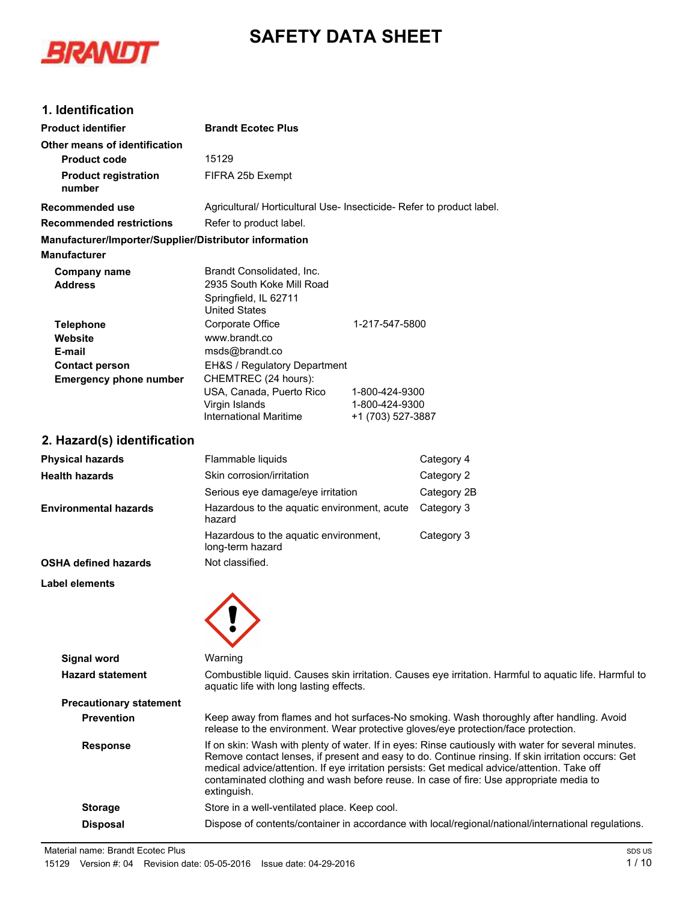# **SAFETY DATA SHEET**



### **1. Identification**

| <b>Product identifier</b>                              | <b>Brandt Ecotec Plus</b>                                                                                                                                                                                                                                                                                                                                                                                          |                                                       |                                                                                                        |
|--------------------------------------------------------|--------------------------------------------------------------------------------------------------------------------------------------------------------------------------------------------------------------------------------------------------------------------------------------------------------------------------------------------------------------------------------------------------------------------|-------------------------------------------------------|--------------------------------------------------------------------------------------------------------|
| Other means of identification                          |                                                                                                                                                                                                                                                                                                                                                                                                                    |                                                       |                                                                                                        |
| <b>Product code</b>                                    | 15129                                                                                                                                                                                                                                                                                                                                                                                                              |                                                       |                                                                                                        |
| <b>Product registration</b><br>number                  | FIFRA 25b Exempt                                                                                                                                                                                                                                                                                                                                                                                                   |                                                       |                                                                                                        |
| Recommended use                                        | Agricultural/ Horticultural Use- Insecticide- Refer to product label.                                                                                                                                                                                                                                                                                                                                              |                                                       |                                                                                                        |
| Recommended restrictions                               | Refer to product label.                                                                                                                                                                                                                                                                                                                                                                                            |                                                       |                                                                                                        |
| Manufacturer/Importer/Supplier/Distributor information |                                                                                                                                                                                                                                                                                                                                                                                                                    |                                                       |                                                                                                        |
| <b>Manufacturer</b>                                    |                                                                                                                                                                                                                                                                                                                                                                                                                    |                                                       |                                                                                                        |
| <b>Company name</b><br><b>Address</b>                  | Brandt Consolidated, Inc.<br>2935 South Koke Mill Road<br>Springfield, IL 62711<br><b>United States</b>                                                                                                                                                                                                                                                                                                            |                                                       |                                                                                                        |
| <b>Telephone</b>                                       | Corporate Office                                                                                                                                                                                                                                                                                                                                                                                                   | 1-217-547-5800                                        |                                                                                                        |
| Website                                                | www.brandt.co                                                                                                                                                                                                                                                                                                                                                                                                      |                                                       |                                                                                                        |
| E-mail                                                 | msds@brandt.co                                                                                                                                                                                                                                                                                                                                                                                                     |                                                       |                                                                                                        |
| <b>Contact person</b><br><b>Emergency phone number</b> | EH&S / Regulatory Department<br>CHEMTREC (24 hours):                                                                                                                                                                                                                                                                                                                                                               |                                                       |                                                                                                        |
|                                                        | USA, Canada, Puerto Rico<br>Virgin Islands<br><b>International Maritime</b>                                                                                                                                                                                                                                                                                                                                        | 1-800-424-9300<br>1-800-424-9300<br>+1 (703) 527-3887 |                                                                                                        |
| 2. Hazard(s) identification                            |                                                                                                                                                                                                                                                                                                                                                                                                                    |                                                       |                                                                                                        |
| <b>Physical hazards</b>                                | Flammable liquids                                                                                                                                                                                                                                                                                                                                                                                                  |                                                       | Category 4                                                                                             |
| <b>Health hazards</b>                                  | Skin corrosion/irritation                                                                                                                                                                                                                                                                                                                                                                                          |                                                       | Category 2                                                                                             |
|                                                        | Serious eye damage/eye irritation                                                                                                                                                                                                                                                                                                                                                                                  |                                                       | Category 2B                                                                                            |
| <b>Environmental hazards</b>                           | Hazardous to the aquatic environment, acute<br>hazard                                                                                                                                                                                                                                                                                                                                                              |                                                       | Category 3                                                                                             |
|                                                        | Hazardous to the aquatic environment,<br>long-term hazard                                                                                                                                                                                                                                                                                                                                                          |                                                       | Category 3                                                                                             |
| <b>OSHA defined hazards</b>                            | Not classified.                                                                                                                                                                                                                                                                                                                                                                                                    |                                                       |                                                                                                        |
| Label elements                                         |                                                                                                                                                                                                                                                                                                                                                                                                                    |                                                       |                                                                                                        |
|                                                        |                                                                                                                                                                                                                                                                                                                                                                                                                    |                                                       |                                                                                                        |
| <b>Signal word</b>                                     | Warning                                                                                                                                                                                                                                                                                                                                                                                                            |                                                       |                                                                                                        |
| <b>Hazard statement</b>                                | aquatic life with long lasting effects.                                                                                                                                                                                                                                                                                                                                                                            |                                                       | Combustible liquid. Causes skin irritation. Causes eye irritation. Harmful to aquatic life. Harmful to |
| <b>Precautionary statement</b>                         |                                                                                                                                                                                                                                                                                                                                                                                                                    |                                                       |                                                                                                        |
| <b>Prevention</b>                                      | Keep away from flames and hot surfaces-No smoking. Wash thoroughly after handling. Avoid<br>release to the environment. Wear protective gloves/eye protection/face protection.                                                                                                                                                                                                                                     |                                                       |                                                                                                        |
| <b>Response</b>                                        | If on skin: Wash with plenty of water. If in eyes: Rinse cautiously with water for several minutes.<br>Remove contact lenses, if present and easy to do. Continue rinsing. If skin irritation occurs: Get<br>medical advice/attention. If eye irritation persists: Get medical advice/attention. Take off<br>contaminated clothing and wash before reuse. In case of fire: Use appropriate media to<br>extinguish. |                                                       |                                                                                                        |
| <b>Storage</b>                                         | Store in a well-ventilated place. Keep cool.                                                                                                                                                                                                                                                                                                                                                                       |                                                       |                                                                                                        |

**Disposal** Dispose of contents/container in accordance with local/regional/national/international regulations.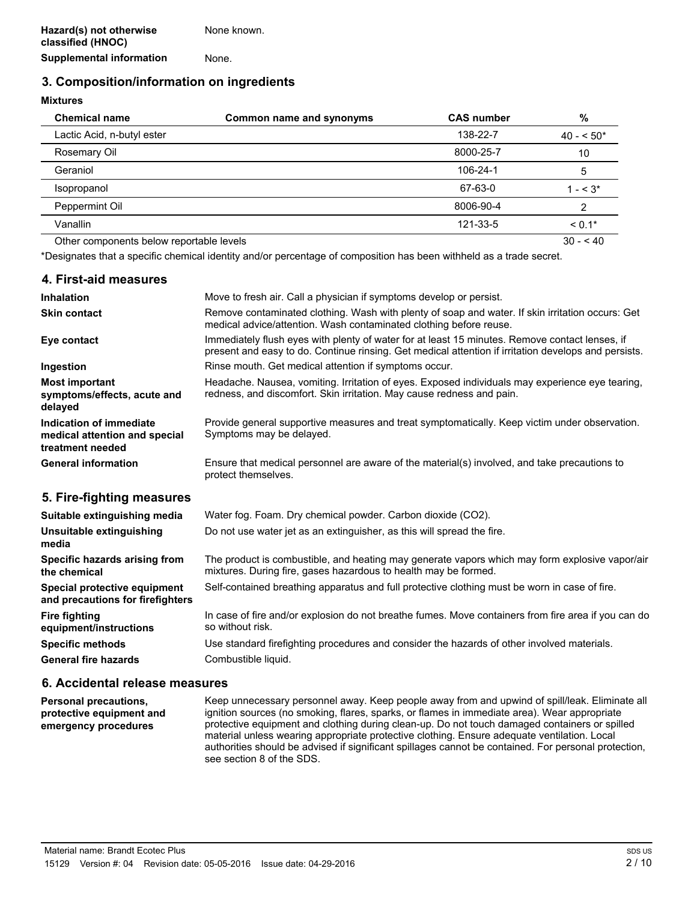## **3. Composition/information on ingredients**

**Mixtures**

| <b>Chemical name</b>                     | <b>Common name and synonyms</b> | <b>CAS number</b> | %          |
|------------------------------------------|---------------------------------|-------------------|------------|
| Lactic Acid, n-butyl ester               |                                 | 138-22-7          | $40 - 50*$ |
| Rosemary Oil                             |                                 | 8000-25-7         | 10         |
| Geraniol                                 |                                 | 106-24-1          | 5          |
| Isopropanol                              |                                 | 67-63-0           | $1 - 5.3*$ |
| Peppermint Oil                           |                                 | 8006-90-4         | 2          |
| Vanallin                                 |                                 | 121-33-5          | $< 0.1*$   |
| Other components below reportable levels |                                 |                   | $30 - 40$  |

\*Designates that a specific chemical identity and/or percentage of composition has been withheld as a trade secret.

#### **4. First-aid measures Inhalation** Move to fresh air. Call a physician if symptoms develop or persist. Remove contaminated clothing. Wash with plenty of soap and water. If skin irritation occurs: Get medical advice/attention. Wash contaminated clothing before reuse. **Skin contact** Immediately flush eyes with plenty of water for at least 15 minutes. Remove contact lenses, if present and easy to do. Continue rinsing. Get medical attention if irritation develops and persists. **Eye contact Ingestion Rinse mouth. Get medical attention if symptoms occur.** Headache. Nausea, vomiting. Irritation of eyes. Exposed individuals may experience eye tearing, redness, and discomfort. Skin irritation. May cause redness and pain. **Most important symptoms/effects, acute and delayed** Provide general supportive measures and treat symptomatically. Keep victim under observation. Symptoms may be delayed. **Indication of immediate medical attention and special treatment needed** Ensure that medical personnel are aware of the material(s) involved, and take precautions to protect themselves. **General information 5. Fire-fighting measures**

| Suitable extinguishing media                                     | Water fog. Foam. Dry chemical powder. Carbon dioxide (CO2).                                                                                                       |
|------------------------------------------------------------------|-------------------------------------------------------------------------------------------------------------------------------------------------------------------|
| Unsuitable extinguishing<br>media                                | Do not use water jet as an extinguisher, as this will spread the fire.                                                                                            |
| Specific hazards arising from<br>the chemical                    | The product is combustible, and heating may generate vapors which may form explosive vapor/air<br>mixtures. During fire, gases hazardous to health may be formed. |
| Special protective equipment<br>and precautions for firefighters | Self-contained breathing apparatus and full protective clothing must be worn in case of fire.                                                                     |
| Fire fighting<br>equipment/instructions                          | In case of fire and/or explosion do not breathe fumes. Move containers from fire area if you can do<br>so without risk.                                           |
| <b>Specific methods</b>                                          | Use standard firefighting procedures and consider the hazards of other involved materials.                                                                        |
| <b>General fire hazards</b>                                      | Combustible liquid.                                                                                                                                               |

#### **6. Accidental release measures**

Keep unnecessary personnel away. Keep people away from and upwind of spill/leak. Eliminate all ignition sources (no smoking, flares, sparks, or flames in immediate area). Wear appropriate protective equipment and clothing during clean-up. Do not touch damaged containers or spilled material unless wearing appropriate protective clothing. Ensure adequate ventilation. Local authorities should be advised if significant spillages cannot be contained. For personal protection, see section 8 of the SDS. **Personal precautions, protective equipment and emergency procedures**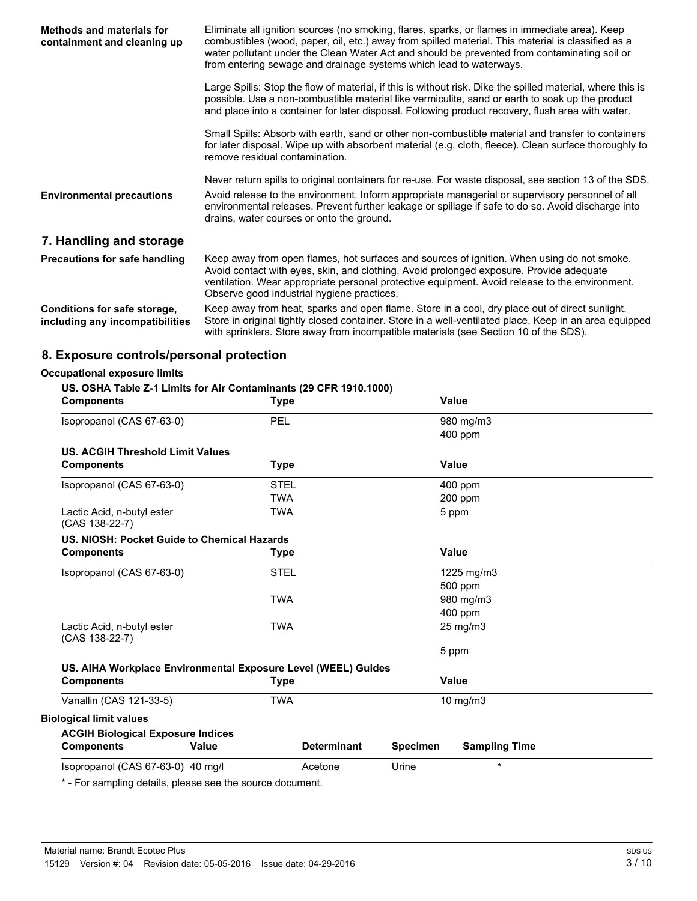| <b>Methods and materials for</b><br>containment and cleaning up | Eliminate all ignition sources (no smoking, flares, sparks, or flames in immediate area). Keep<br>combustibles (wood, paper, oil, etc.) away from spilled material. This material is classified as a<br>water pollutant under the Clean Water Act and should be prevented from contaminating soil or<br>from entering sewage and drainage systems which lead to waterways. |  |  |
|-----------------------------------------------------------------|----------------------------------------------------------------------------------------------------------------------------------------------------------------------------------------------------------------------------------------------------------------------------------------------------------------------------------------------------------------------------|--|--|
|                                                                 | Large Spills: Stop the flow of material, if this is without risk. Dike the spilled material, where this is<br>possible. Use a non-combustible material like vermiculite, sand or earth to soak up the product<br>and place into a container for later disposal. Following product recovery, flush area with water.                                                         |  |  |
|                                                                 | Small Spills: Absorb with earth, sand or other non-combustible material and transfer to containers<br>for later disposal. Wipe up with absorbent material (e.g. cloth, fleece). Clean surface thoroughly to<br>remove residual contamination.                                                                                                                              |  |  |
| <b>Environmental precautions</b>                                | Never return spills to original containers for re-use. For waste disposal, see section 13 of the SDS.<br>Avoid release to the environment. Inform appropriate managerial or supervisory personnel of all<br>environmental releases. Prevent further leakage or spillage if safe to do so. Avoid discharge into<br>drains, water courses or onto the ground.                |  |  |
| 7. Handling and storage                                         |                                                                                                                                                                                                                                                                                                                                                                            |  |  |
| <b>Precautions for safe handling</b>                            | Keep away from open flames, hot surfaces and sources of ignition. When using do not smoke.<br>Avoid contact with eyes, skin, and clothing. Avoid prolonged exposure. Provide adequate<br>ventilation. Wear appropriate personal protective equipment. Avoid release to the environment.<br>Observe good industrial hygiene practices.                                      |  |  |
| Conditions for safe storage,<br>including any incompatibilities | Keep away from heat, sparks and open flame. Store in a cool, dry place out of direct sunlight.<br>Store in original tightly closed container. Store in a well-ventilated place. Keep in an area equipped<br>with sprinklers. Store away from incompatible materials (see Section 10 of the SDS).                                                                           |  |  |

## **8. Exposure controls/personal protection**

#### **Occupational exposure limits**

#### **US. OSHA Table Z-1 Limits for Air Contaminants (29 CFR 1910.1000)**

| <b>Components</b>                                             |              | Type        |                    |                 | Value                |  |
|---------------------------------------------------------------|--------------|-------------|--------------------|-----------------|----------------------|--|
| Isopropanol (CAS 67-63-0)                                     |              | <b>PEL</b>  |                    |                 | 980 mg/m3            |  |
|                                                               |              |             |                    |                 | 400 ppm              |  |
| <b>US. ACGIH Threshold Limit Values</b>                       |              |             |                    |                 |                      |  |
| <b>Components</b>                                             |              | Type        |                    |                 | <b>Value</b>         |  |
| Isopropanol (CAS 67-63-0)                                     |              | <b>STEL</b> |                    |                 | 400 ppm              |  |
|                                                               |              | <b>TWA</b>  |                    |                 | 200 ppm              |  |
| Lactic Acid, n-butyl ester<br>(CAS 138-22-7)                  |              | <b>TWA</b>  |                    |                 | 5 ppm                |  |
| US. NIOSH: Pocket Guide to Chemical Hazards                   |              |             |                    |                 |                      |  |
| <b>Components</b>                                             |              | <b>Type</b> |                    |                 | Value                |  |
| Isopropanol (CAS 67-63-0)                                     |              | <b>STEL</b> |                    |                 | 1225 mg/m3           |  |
|                                                               |              |             |                    |                 | 500 ppm              |  |
|                                                               |              | <b>TWA</b>  |                    |                 | 980 mg/m3            |  |
|                                                               |              |             |                    |                 | 400 ppm              |  |
| Lactic Acid, n-butyl ester<br>(CAS 138-22-7)                  |              | <b>TWA</b>  |                    |                 | 25 mg/m3             |  |
|                                                               |              |             |                    |                 | 5 ppm                |  |
| US. AIHA Workplace Environmental Exposure Level (WEEL) Guides |              |             |                    |                 |                      |  |
| <b>Components</b>                                             |              | <b>Type</b> |                    |                 | Value                |  |
| Vanallin (CAS 121-33-5)                                       |              | <b>TWA</b>  |                    |                 | $10$ mg/m $3$        |  |
| <b>Biological limit values</b>                                |              |             |                    |                 |                      |  |
| <b>ACGIH Biological Exposure Indices</b>                      |              |             |                    |                 |                      |  |
| <b>Components</b>                                             | <b>Value</b> |             | <b>Determinant</b> | <b>Specimen</b> | <b>Sampling Time</b> |  |
| Isopropanol (CAS 67-63-0) 40 mg/l                             |              |             | Acetone            | Urine           | $\star$              |  |
|                                                               |              |             |                    |                 |                      |  |

\* - For sampling details, please see the source document.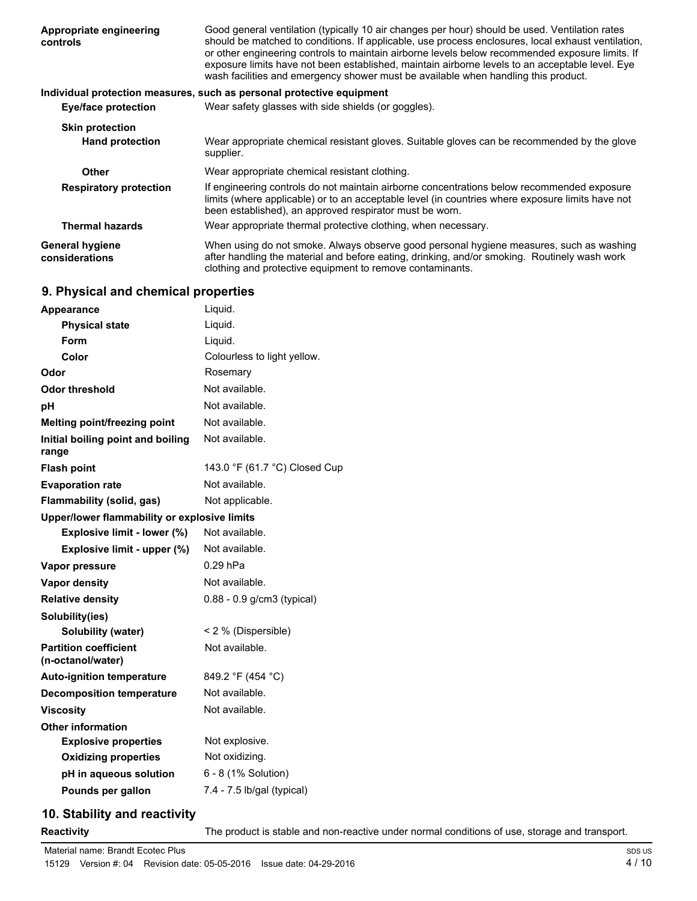| Appropriate engineering<br>controls      | Good general ventilation (typically 10 air changes per hour) should be used. Ventilation rates<br>should be matched to conditions. If applicable, use process enclosures, local exhaust ventilation,<br>or other engineering controls to maintain airborne levels below recommended exposure limits. If<br>exposure limits have not been established, maintain airborne levels to an acceptable level. Eye<br>wash facilities and emergency shower must be available when handling this product. |
|------------------------------------------|--------------------------------------------------------------------------------------------------------------------------------------------------------------------------------------------------------------------------------------------------------------------------------------------------------------------------------------------------------------------------------------------------------------------------------------------------------------------------------------------------|
|                                          | Individual protection measures, such as personal protective equipment                                                                                                                                                                                                                                                                                                                                                                                                                            |
| Eye/face protection                      | Wear safety glasses with side shields (or goggles).                                                                                                                                                                                                                                                                                                                                                                                                                                              |
| <b>Skin protection</b>                   |                                                                                                                                                                                                                                                                                                                                                                                                                                                                                                  |
| <b>Hand protection</b>                   | Wear appropriate chemical resistant gloves. Suitable gloves can be recommended by the glove<br>supplier.                                                                                                                                                                                                                                                                                                                                                                                         |
| Other                                    | Wear appropriate chemical resistant clothing.                                                                                                                                                                                                                                                                                                                                                                                                                                                    |
| <b>Respiratory protection</b>            | If engineering controls do not maintain airborne concentrations below recommended exposure<br>limits (where applicable) or to an acceptable level (in countries where exposure limits have not<br>been established), an approved respirator must be worn.                                                                                                                                                                                                                                        |
| <b>Thermal hazards</b>                   | Wear appropriate thermal protective clothing, when necessary.                                                                                                                                                                                                                                                                                                                                                                                                                                    |
| <b>General hygiene</b><br>considerations | When using do not smoke. Always observe good personal hygiene measures, such as washing<br>after handling the material and before eating, drinking, and/or smoking. Routinely wash work<br>clothing and protective equipment to remove contaminants.                                                                                                                                                                                                                                             |

## **9. Physical and chemical properties**

| <b>Appearance</b>                                 | Liquid.                       |
|---------------------------------------------------|-------------------------------|
| <b>Physical state</b>                             | Liquid.                       |
| Form                                              | Liquid.                       |
| Color                                             | Colourless to light yellow.   |
| Odor                                              | Rosemary                      |
| <b>Odor threshold</b>                             | Not available.                |
| рH                                                | Not available.                |
| Melting point/freezing point                      | Not available.                |
| Initial boiling point and boiling<br>range        | Not available.                |
| <b>Flash point</b>                                | 143.0 °F (61.7 °C) Closed Cup |
| <b>Evaporation rate</b>                           | Not available.                |
| <b>Flammability (solid, gas)</b>                  | Not applicable.               |
| Upper/lower flammability or explosive limits      |                               |
| Explosive limit - lower (%)                       | Not available.                |
| Explosive limit - upper (%)                       | Not available.                |
| Vapor pressure                                    | $0.29$ hPa                    |
| <b>Vapor density</b>                              | Not available.                |
| <b>Relative density</b>                           | 0.88 - 0.9 g/cm3 (typical)    |
| Solubility(ies)                                   |                               |
| Solubility (water)                                | < 2 % (Dispersible)           |
| <b>Partition coefficient</b><br>(n-octanol/water) | Not available.                |
| <b>Auto-ignition temperature</b>                  | 849.2 °F (454 °C)             |
| <b>Decomposition temperature</b>                  | Not available.                |
| <b>Viscosity</b>                                  | Not available.                |
| <b>Other information</b>                          |                               |
| <b>Explosive properties</b>                       | Not explosive.                |
| <b>Oxidizing properties</b>                       | Not oxidizing.                |
| pH in aqueous solution                            | 6 - 8 (1% Solution)           |
| Pounds per gallon                                 | 7.4 - 7.5 lb/gal (typical)    |
|                                                   |                               |

## **10. Stability and reactivity**

**Reactivity** The product is stable and non-reactive under normal conditions of use, storage and transport.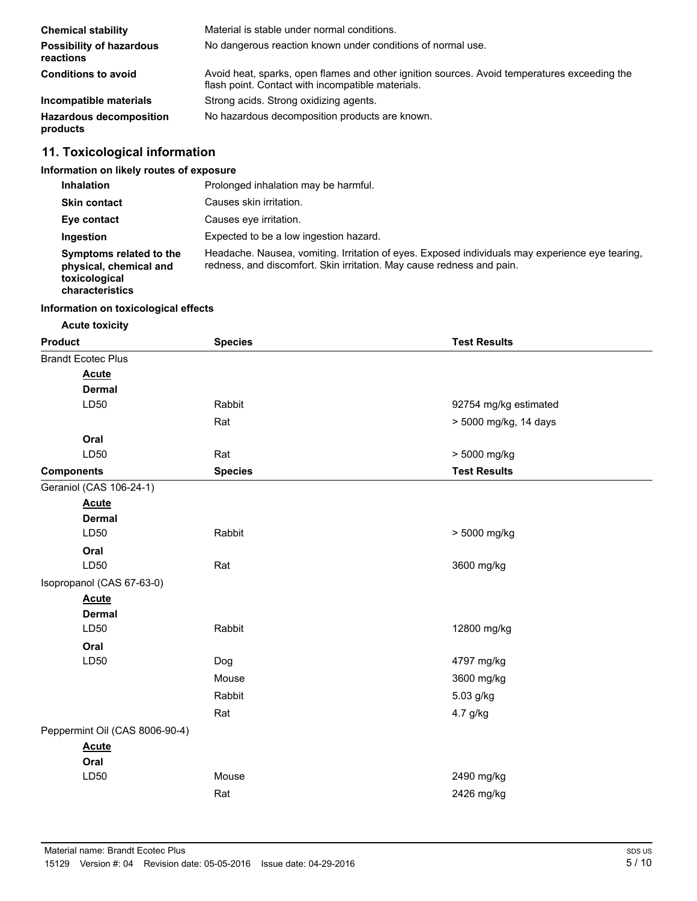| <b>Chemical stability</b>                    | Material is stable under normal conditions.                                                                                                       |
|----------------------------------------------|---------------------------------------------------------------------------------------------------------------------------------------------------|
| <b>Possibility of hazardous</b><br>reactions | No dangerous reaction known under conditions of normal use.                                                                                       |
| <b>Conditions to avoid</b>                   | Avoid heat, sparks, open flames and other ignition sources. Avoid temperatures exceeding the<br>flash point. Contact with incompatible materials. |
| Incompatible materials                       | Strong acids. Strong oxidizing agents.                                                                                                            |
| <b>Hazardous decomposition</b><br>products   | No hazardous decomposition products are known.                                                                                                    |

## **11. Toxicological information**

## **Information on likely routes of exposure**

| <b>Inhalation</b>                                                                     | Prolonged inhalation may be harmful.                                                                                                                                     |
|---------------------------------------------------------------------------------------|--------------------------------------------------------------------------------------------------------------------------------------------------------------------------|
| <b>Skin contact</b>                                                                   | Causes skin irritation.                                                                                                                                                  |
| Eye contact                                                                           | Causes eve irritation.                                                                                                                                                   |
| Ingestion                                                                             | Expected to be a low ingestion hazard.                                                                                                                                   |
| Symptoms related to the<br>physical, chemical and<br>toxicological<br>characteristics | Headache. Nausea, vomiting. Irritation of eyes. Exposed individuals may experience eye tearing,<br>redness, and discomfort. Skin irritation. May cause redness and pain. |

#### **Information on toxicological effects**

**Acute toxicity**

| <b>Product</b>                 | <b>Species</b> | <b>Test Results</b>   |
|--------------------------------|----------------|-----------------------|
| <b>Brandt Ecotec Plus</b>      |                |                       |
| <b>Acute</b>                   |                |                       |
| <b>Dermal</b>                  |                |                       |
| LD50                           | Rabbit         | 92754 mg/kg estimated |
|                                | Rat            | > 5000 mg/kg, 14 days |
| Oral                           |                |                       |
| LD50                           | Rat            | > 5000 mg/kg          |
| <b>Components</b>              | <b>Species</b> | <b>Test Results</b>   |
| Geraniol (CAS 106-24-1)        |                |                       |
| <b>Acute</b>                   |                |                       |
| <b>Dermal</b>                  |                |                       |
| LD50                           | Rabbit         | > 5000 mg/kg          |
| Oral                           |                |                       |
| LD50                           | Rat            | 3600 mg/kg            |
| Isopropanol (CAS 67-63-0)      |                |                       |
| <b>Acute</b>                   |                |                       |
| <b>Dermal</b>                  |                |                       |
| LD50                           | Rabbit         | 12800 mg/kg           |
| Oral                           |                |                       |
| LD50                           | Dog            | 4797 mg/kg            |
|                                | Mouse          | 3600 mg/kg            |
|                                | Rabbit         | 5.03 g/kg             |
|                                | Rat            | 4.7 g/kg              |
| Peppermint Oil (CAS 8006-90-4) |                |                       |
| <b>Acute</b>                   |                |                       |
| Oral                           |                |                       |
| LD50                           | Mouse          | 2490 mg/kg            |
|                                | Rat            | 2426 mg/kg            |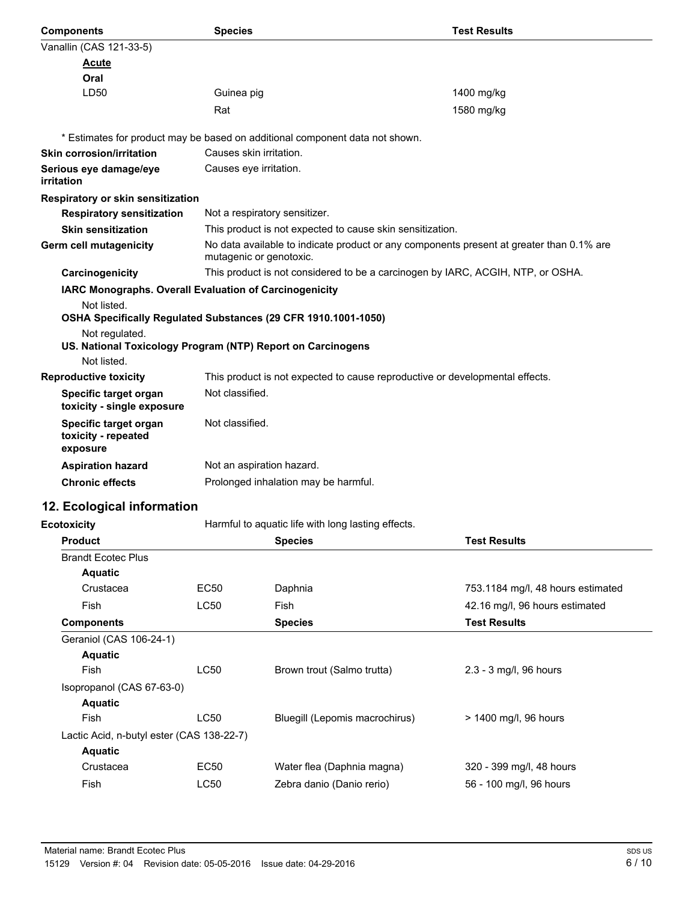| <b>Components</b>                                                             | <b>Species</b>                       |                                                                                          | <b>Test Results</b>               |  |
|-------------------------------------------------------------------------------|--------------------------------------|------------------------------------------------------------------------------------------|-----------------------------------|--|
| Vanallin (CAS 121-33-5)                                                       |                                      |                                                                                          |                                   |  |
| <u>Acute</u>                                                                  |                                      |                                                                                          |                                   |  |
| Oral                                                                          |                                      |                                                                                          |                                   |  |
| LD50                                                                          | Guinea pig                           |                                                                                          | 1400 mg/kg                        |  |
|                                                                               | Rat                                  |                                                                                          | 1580 mg/kg                        |  |
|                                                                               |                                      | * Estimates for product may be based on additional component data not shown.             |                                   |  |
| <b>Skin corrosion/irritation</b>                                              | Causes skin irritation.              |                                                                                          |                                   |  |
| Serious eye damage/eye<br>irritation                                          | Causes eye irritation.               |                                                                                          |                                   |  |
| Respiratory or skin sensitization                                             |                                      |                                                                                          |                                   |  |
| <b>Respiratory sensitization</b>                                              | Not a respiratory sensitizer.        |                                                                                          |                                   |  |
| <b>Skin sensitization</b>                                                     |                                      | This product is not expected to cause skin sensitization.                                |                                   |  |
| <b>Germ cell mutagenicity</b>                                                 | mutagenic or genotoxic.              | No data available to indicate product or any components present at greater than 0.1% are |                                   |  |
| Carcinogenicity                                                               |                                      | This product is not considered to be a carcinogen by IARC, ACGIH, NTP, or OSHA.          |                                   |  |
| IARC Monographs. Overall Evaluation of Carcinogenicity                        |                                      |                                                                                          |                                   |  |
| Not listed.<br>OSHA Specifically Regulated Substances (29 CFR 1910.1001-1050) |                                      |                                                                                          |                                   |  |
| Not regulated.<br>US. National Toxicology Program (NTP) Report on Carcinogens |                                      |                                                                                          |                                   |  |
| Not listed.                                                                   |                                      |                                                                                          |                                   |  |
| <b>Reproductive toxicity</b>                                                  |                                      | This product is not expected to cause reproductive or developmental effects.             |                                   |  |
| Specific target organ<br>toxicity - single exposure                           | Not classified.                      |                                                                                          |                                   |  |
| Specific target organ<br>toxicity - repeated<br>exposure                      | Not classified.                      |                                                                                          |                                   |  |
| <b>Aspiration hazard</b>                                                      | Not an aspiration hazard.            |                                                                                          |                                   |  |
| <b>Chronic effects</b>                                                        | Prolonged inhalation may be harmful. |                                                                                          |                                   |  |
| 12. Ecological information                                                    |                                      |                                                                                          |                                   |  |
| <b>Ecotoxicity</b>                                                            |                                      | Harmful to aquatic life with long lasting effects.                                       |                                   |  |
| <b>Product</b>                                                                |                                      | <b>Species</b>                                                                           | <b>Test Results</b>               |  |
| <b>Brandt Ecotec Plus</b>                                                     |                                      |                                                                                          |                                   |  |
| <b>Aquatic</b>                                                                |                                      |                                                                                          |                                   |  |
| Crustacea                                                                     | <b>EC50</b>                          | Daphnia                                                                                  | 753.1184 mg/l, 48 hours estimated |  |
| Fish                                                                          | <b>LC50</b>                          | <b>Fish</b>                                                                              | 42.16 mg/l, 96 hours estimated    |  |
| <b>Components</b>                                                             |                                      | <b>Species</b>                                                                           | <b>Test Results</b>               |  |
| Geraniol (CAS 106-24-1)                                                       |                                      |                                                                                          |                                   |  |
| <b>Aquatic</b>                                                                |                                      |                                                                                          |                                   |  |
| Fish                                                                          | <b>LC50</b>                          | Brown trout (Salmo trutta)                                                               | 2.3 - 3 mg/l, 96 hours            |  |
| Isopropanol (CAS 67-63-0)                                                     |                                      |                                                                                          |                                   |  |
| <b>Aquatic</b>                                                                |                                      |                                                                                          |                                   |  |
| Fish                                                                          | LC50                                 | Bluegill (Lepomis macrochirus)                                                           | > 1400 mg/l, 96 hours             |  |
| Lactic Acid, n-butyl ester (CAS 138-22-7)                                     |                                      |                                                                                          |                                   |  |
| <b>Aquatic</b>                                                                |                                      |                                                                                          |                                   |  |
| Crustacea                                                                     | <b>EC50</b>                          | Water flea (Daphnia magna)                                                               | 320 - 399 mg/l, 48 hours          |  |

Fish LC50 Zebra danio (Danio rerio) 56 - 100 mg/l, 96 hours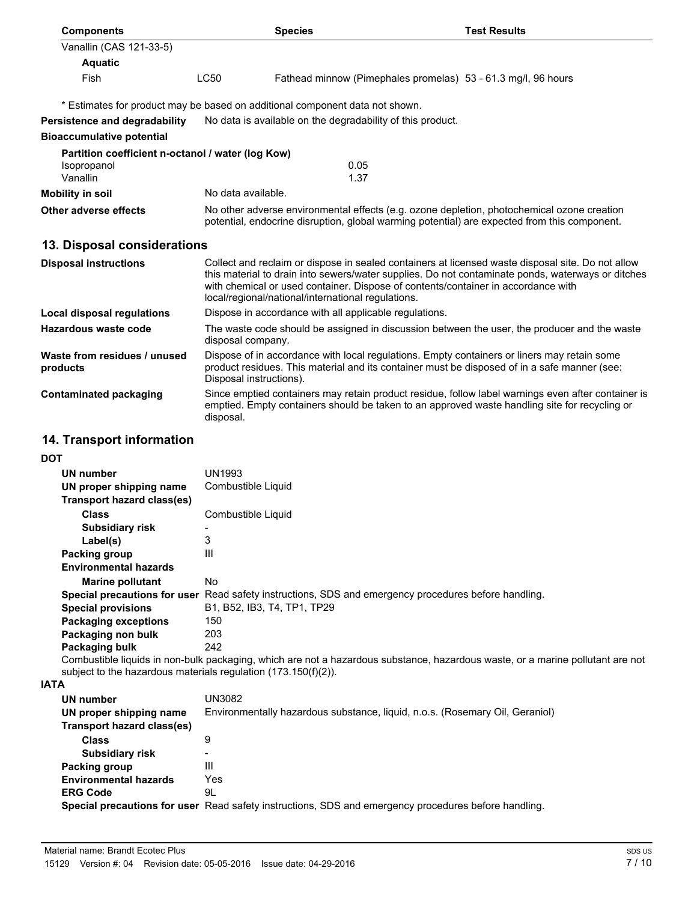| <b>Components</b>                                                            | <b>Species</b>          |                                                                                                                                                                                                                                                                                                                                                   | <b>Test Results</b> |  |  |
|------------------------------------------------------------------------------|-------------------------|---------------------------------------------------------------------------------------------------------------------------------------------------------------------------------------------------------------------------------------------------------------------------------------------------------------------------------------------------|---------------------|--|--|
| Vanallin (CAS 121-33-5)                                                      |                         |                                                                                                                                                                                                                                                                                                                                                   |                     |  |  |
| <b>Aquatic</b>                                                               |                         |                                                                                                                                                                                                                                                                                                                                                   |                     |  |  |
| Fish                                                                         | <b>LC50</b>             | Fathead minnow (Pimephales promelas) 53 - 61.3 mg/l, 96 hours                                                                                                                                                                                                                                                                                     |                     |  |  |
|                                                                              |                         | * Estimates for product may be based on additional component data not shown.                                                                                                                                                                                                                                                                      |                     |  |  |
| <b>Persistence and degradability</b>                                         |                         | No data is available on the degradability of this product.                                                                                                                                                                                                                                                                                        |                     |  |  |
| <b>Bioaccumulative potential</b>                                             |                         |                                                                                                                                                                                                                                                                                                                                                   |                     |  |  |
| Partition coefficient n-octanol / water (log Kow)<br>Isopropanol<br>Vanallin |                         | 0.05<br>1.37                                                                                                                                                                                                                                                                                                                                      |                     |  |  |
| <b>Mobility in soil</b>                                                      | No data available.      |                                                                                                                                                                                                                                                                                                                                                   |                     |  |  |
| Other adverse effects                                                        |                         | No other adverse environmental effects (e.g. ozone depletion, photochemical ozone creation<br>potential, endocrine disruption, global warming potential) are expected from this component.                                                                                                                                                        |                     |  |  |
| 13. Disposal considerations                                                  |                         |                                                                                                                                                                                                                                                                                                                                                   |                     |  |  |
| <b>Disposal instructions</b>                                                 |                         | Collect and reclaim or dispose in sealed containers at licensed waste disposal site. Do not allow<br>this material to drain into sewers/water supplies. Do not contaminate ponds, waterways or ditches<br>with chemical or used container. Dispose of contents/container in accordance with<br>local/regional/national/international regulations. |                     |  |  |
| Local disposal regulations                                                   |                         | Dispose in accordance with all applicable regulations.                                                                                                                                                                                                                                                                                            |                     |  |  |
| Hazardous waste code                                                         | disposal company.       | The waste code should be assigned in discussion between the user, the producer and the waste                                                                                                                                                                                                                                                      |                     |  |  |
| Waste from residues / unused<br>products                                     | Disposal instructions). | Dispose of in accordance with local regulations. Empty containers or liners may retain some<br>product residues. This material and its container must be disposed of in a safe manner (see:                                                                                                                                                       |                     |  |  |
| <b>Contaminated packaging</b>                                                | disposal.               | Since emptied containers may retain product residue, follow label warnings even after container is<br>emptied. Empty containers should be taken to an approved waste handling site for recycling or                                                                                                                                               |                     |  |  |

## **14. Transport information**

**DOT**

| UN number                    | UN1993                                                                                                                     |
|------------------------------|----------------------------------------------------------------------------------------------------------------------------|
| UN proper shipping name      | Combustible Liquid                                                                                                         |
| Transport hazard class(es)   |                                                                                                                            |
| <b>Class</b>                 | Combustible Liquid                                                                                                         |
| <b>Subsidiary risk</b>       |                                                                                                                            |
| Label(s)                     | 3                                                                                                                          |
| Packing group                | Ш                                                                                                                          |
| <b>Environmental hazards</b> |                                                                                                                            |
| <b>Marine pollutant</b>      | No.                                                                                                                        |
|                              | Special precautions for user Read safety instructions, SDS and emergency procedures before handling.                       |
| <b>Special provisions</b>    | B1, B52, IB3, T4, TP1, TP29                                                                                                |
| <b>Packaging exceptions</b>  | 150                                                                                                                        |
| Packaging non bulk           | 203                                                                                                                        |
| Packaging bulk               | 242                                                                                                                        |
|                              | Combustible liquids in non-bulk packaging, which are not a hazardous substance, hazardous waste, or a marine pollutant are |

Combustible liquids in non-bulk packaging, which are not a hazardous substance, hazardous waste, or a marine pollutant are not subject to the hazardous materials regulation (173.150(f)(2)).

**IATA**

| UN number<br>UN proper shipping name<br>Transport hazard class(es) | UN3082<br>Environmentally hazardous substance, liquid, n.o.s. (Rosemary Oil, Geraniol)               |
|--------------------------------------------------------------------|------------------------------------------------------------------------------------------------------|
| <b>Class</b>                                                       | 9                                                                                                    |
| Subsidiary risk                                                    | -                                                                                                    |
| Packing group                                                      | Ш                                                                                                    |
| <b>Environmental hazards</b>                                       | Yes                                                                                                  |
| <b>ERG Code</b>                                                    | 9L                                                                                                   |
|                                                                    | Special precautions for user Read safety instructions, SDS and emergency procedures before handling. |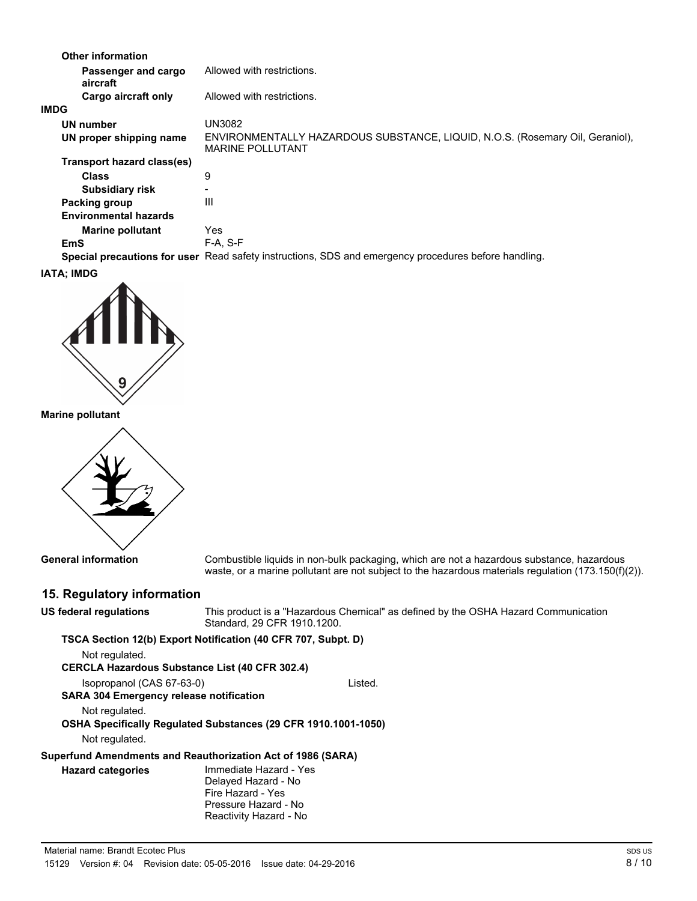| <b>Other information</b>        |                                                                                                          |
|---------------------------------|----------------------------------------------------------------------------------------------------------|
| Passenger and cargo<br>aircraft | Allowed with restrictions.                                                                               |
| Cargo aircraft only             | Allowed with restrictions.                                                                               |
| <b>IMDG</b>                     |                                                                                                          |
| UN number                       | UN3082                                                                                                   |
| UN proper shipping name         | ENVIRONMENTALLY HAZARDOUS SUBSTANCE, LIQUID, N.O.S. (Rosemary Oil, Geraniol),<br><b>MARINE POLLUTANT</b> |
| Transport hazard class(es)      |                                                                                                          |
| <b>Class</b>                    | 9                                                                                                        |
| <b>Subsidiary risk</b>          |                                                                                                          |
| Packing group                   | Ш                                                                                                        |
| <b>Environmental hazards</b>    |                                                                                                          |
| <b>Marine pollutant</b>         | <b>Yes</b>                                                                                               |
| EmS                             | $F-A. S-F$                                                                                               |
|                                 | Special precautions for user Read safety instructions, SDS and emergency procedures before handling.     |

#### **IATA; IMDG**



**Marine pollutant**



**General information**

Combustible liquids in non-bulk packaging, which are not a hazardous substance, hazardous waste, or a marine pollutant are not subject to the hazardous materials regulation (173.150(f)(2)).

## **15. Regulatory information**

| US federal regulations                                      | This product is a "Hazardous Chemical" as defined by the OSHA Hazard Communication<br>Standard, 29 CFR 1910, 1200.   |  |  |
|-------------------------------------------------------------|----------------------------------------------------------------------------------------------------------------------|--|--|
|                                                             | TSCA Section 12(b) Export Notification (40 CFR 707, Subpt. D)                                                        |  |  |
| Not regulated.                                              |                                                                                                                      |  |  |
| <b>CERCLA Hazardous Substance List (40 CFR 302.4)</b>       |                                                                                                                      |  |  |
| Isopropanol (CAS 67-63-0)                                   | Listed.                                                                                                              |  |  |
| <b>SARA 304 Emergency release notification</b>              |                                                                                                                      |  |  |
| Not regulated.                                              |                                                                                                                      |  |  |
|                                                             | OSHA Specifically Regulated Substances (29 CFR 1910.1001-1050)                                                       |  |  |
| Not regulated.                                              |                                                                                                                      |  |  |
| Superfund Amendments and Reauthorization Act of 1986 (SARA) |                                                                                                                      |  |  |
| <b>Hazard categories</b>                                    | Immediate Hazard - Yes<br>Delayed Hazard - No<br>Fire Hazard - Yes<br>Pressure Hazard - No<br>Reactivity Hazard - No |  |  |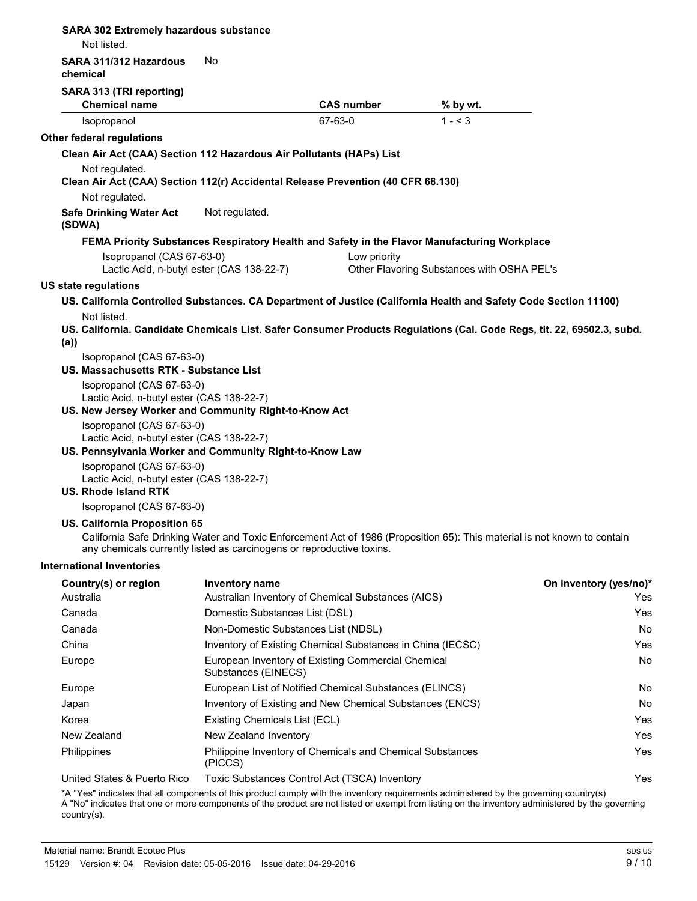| <b>SARA 302 Extremely hazardous substance</b><br>Not listed.                                                                          |                                           |                                                            |                                                                                                                          |                        |
|---------------------------------------------------------------------------------------------------------------------------------------|-------------------------------------------|------------------------------------------------------------|--------------------------------------------------------------------------------------------------------------------------|------------------------|
| SARA 311/312 Hazardous<br>chemical                                                                                                    | No                                        |                                                            |                                                                                                                          |                        |
| SARA 313 (TRI reporting)                                                                                                              |                                           |                                                            |                                                                                                                          |                        |
| <b>Chemical name</b>                                                                                                                  |                                           | <b>CAS number</b>                                          | % by wt.                                                                                                                 |                        |
| Isopropanol                                                                                                                           |                                           | 67-63-0                                                    | $1 - 3$                                                                                                                  |                        |
| Other federal regulations                                                                                                             |                                           |                                                            |                                                                                                                          |                        |
| Clean Air Act (CAA) Section 112 Hazardous Air Pollutants (HAPs) List                                                                  |                                           |                                                            |                                                                                                                          |                        |
| Not regulated.                                                                                                                        |                                           |                                                            |                                                                                                                          |                        |
| Clean Air Act (CAA) Section 112(r) Accidental Release Prevention (40 CFR 68.130)                                                      |                                           |                                                            |                                                                                                                          |                        |
| Not regulated.                                                                                                                        |                                           |                                                            |                                                                                                                          |                        |
| <b>Safe Drinking Water Act</b><br>(SDWA)                                                                                              | Not regulated.                            |                                                            |                                                                                                                          |                        |
|                                                                                                                                       |                                           |                                                            | FEMA Priority Substances Respiratory Health and Safety in the Flavor Manufacturing Workplace                             |                        |
| Isopropanol (CAS 67-63-0)                                                                                                             |                                           | Low priority                                               |                                                                                                                          |                        |
|                                                                                                                                       | Lactic Acid, n-butyl ester (CAS 138-22-7) |                                                            | Other Flavoring Substances with OSHA PEL's                                                                               |                        |
| US state regulations                                                                                                                  |                                           |                                                            |                                                                                                                          |                        |
| US. California Controlled Substances. CA Department of Justice (California Health and Safety Code Section 11100)                      |                                           |                                                            |                                                                                                                          |                        |
| Not listed.<br>US. California. Candidate Chemicals List. Safer Consumer Products Regulations (Cal. Code Regs, tit. 22, 69502.3, subd. |                                           |                                                            |                                                                                                                          |                        |
| (a)<br>Isopropanol (CAS 67-63-0)                                                                                                      |                                           |                                                            |                                                                                                                          |                        |
| US. Massachusetts RTK - Substance List                                                                                                |                                           |                                                            |                                                                                                                          |                        |
| Isopropanol (CAS 67-63-0)<br>Lactic Acid, n-butyl ester (CAS 138-22-7)                                                                |                                           |                                                            |                                                                                                                          |                        |
| US. New Jersey Worker and Community Right-to-Know Act                                                                                 |                                           |                                                            |                                                                                                                          |                        |
| Isopropanol (CAS 67-63-0)                                                                                                             |                                           |                                                            |                                                                                                                          |                        |
| Lactic Acid, n-butyl ester (CAS 138-22-7)                                                                                             |                                           |                                                            |                                                                                                                          |                        |
| US. Pennsylvania Worker and Community Right-to-Know Law                                                                               |                                           |                                                            |                                                                                                                          |                        |
| Isopropanol (CAS 67-63-0)<br>Lactic Acid, n-butyl ester (CAS 138-22-7)                                                                |                                           |                                                            |                                                                                                                          |                        |
| <b>US. Rhode Island RTK</b>                                                                                                           |                                           |                                                            |                                                                                                                          |                        |
| Isopropanol (CAS 67-63-0)                                                                                                             |                                           |                                                            |                                                                                                                          |                        |
| US. California Proposition 65                                                                                                         |                                           |                                                            |                                                                                                                          |                        |
| any chemicals currently listed as carcinogens or reproductive toxins.                                                                 |                                           |                                                            | California Safe Drinking Water and Toxic Enforcement Act of 1986 (Proposition 65): This material is not known to contain |                        |
| International Inventories                                                                                                             |                                           |                                                            |                                                                                                                          |                        |
| Country(s) or region                                                                                                                  | Inventory name                            |                                                            |                                                                                                                          | On inventory (yes/no)* |
| Australia                                                                                                                             |                                           | Australian Inventory of Chemical Substances (AICS)         |                                                                                                                          | Yes                    |
| Canada                                                                                                                                | Domestic Substances List (DSL)            |                                                            |                                                                                                                          | Yes                    |
| Canada                                                                                                                                | Non-Domestic Substances List (NDSL)       |                                                            |                                                                                                                          | No                     |
| China                                                                                                                                 |                                           | Inventory of Existing Chemical Substances in China (IECSC) |                                                                                                                          | Yes                    |
| Europe                                                                                                                                | Substances (EINECS)                       | European Inventory of Existing Commercial Chemical         |                                                                                                                          | No                     |
| Europe                                                                                                                                |                                           | European List of Notified Chemical Substances (ELINCS)     |                                                                                                                          | No                     |
| Japan                                                                                                                                 |                                           | Inventory of Existing and New Chemical Substances (ENCS)   |                                                                                                                          | No                     |
| Korea                                                                                                                                 | Existing Chemicals List (ECL)             |                                                            |                                                                                                                          | Yes                    |
| New Zealand                                                                                                                           | New Zealand Inventory                     |                                                            |                                                                                                                          | Yes                    |
| Philippines                                                                                                                           | (PICCS)                                   | Philippine Inventory of Chemicals and Chemical Substances  |                                                                                                                          | Yes                    |
| United States & Puerto Rico                                                                                                           |                                           | Toxic Substances Control Act (TSCA) Inventory              |                                                                                                                          | Yes                    |

\*A "Yes" indicates that all components of this product comply with the inventory requirements administered by the governing country(s) A "No" indicates that one or more components of the product are not listed or exempt from listing on the inventory administered by the governing country(s).